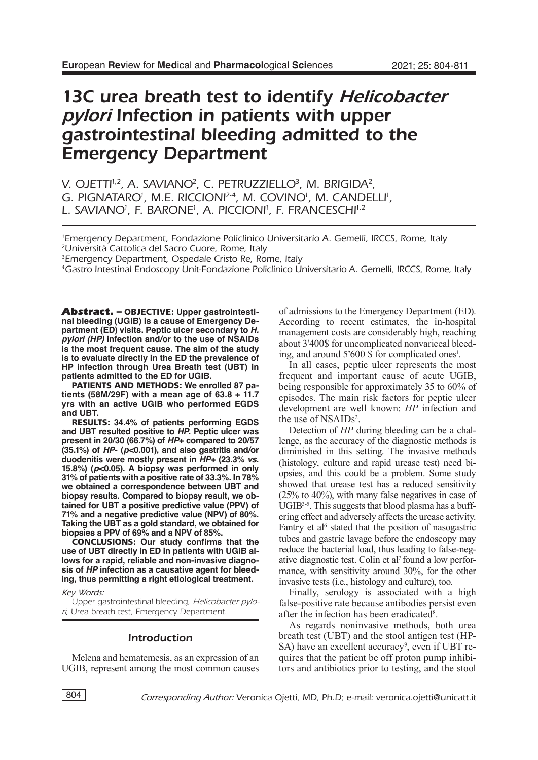# 13C urea breath test to identify *Helicobacter pylori* Infection in patients with upper gastrointestinal bleeding admitted to the Emergency Department

V. OJETTI<sup>1,2</sup>, A. SAVIANO<sup>2</sup>, C. PETRUZZIELLO<sup>3</sup>, M. BRIGIDA<sup>2</sup>, G. PIGNATARO<sup>1</sup>, M.E. RICCIONI<sup>2-4</sup>, M. COVINO<sup>1</sup>, M. CANDELLI<sup>1</sup>, L. SAVIANO<sup>i</sup>, F. BARONE<sup>i</sup>, A. PICCIONI<sup>I</sup>, F. FRANCESCHI<sup>i,2</sup>

1 Emergency Department, Fondazione Policlinico Universitario A. Gemelli, IRCCS, Rome, Italy 2Università Cattolica del Sacro Cuore, Rome, Italy

<sup>3</sup>Emergency Department, Ospedale Cristo Re, Rome, Italy

4Gastro Intestinal Endoscopy Unit-Fondazione Policlinico Universitario A. Gemelli, IRCCS, Rome, Italy

Abstract. – OBJECTIVE: **Upper gastrointestinal bleeding (UGIB) is a cause of Emergency Department (ED) visits. Peptic ulcer secondary to** *H. pylori (HP)* **infection and/or to the use of NSAIDs is the most frequent cause. The aim of the study is to evaluate directly in the ED the prevalence of HP infection through Urea Breath test (UBT) in patients admitted to the ED for UGIB.**

PATIENTS AND METHODS: **We enrolled 87 patients (58M/29F) with a mean age of 63.8 + 11.7 yrs with an active UGIB who performed EGDS and UBT.**

RESULTS: **34.4% of patients performing EGDS and UBT resulted positive to** *HP***. Peptic ulcer was present in 20/30 (66.7%) of** *HP***+ compared to 20/57 (35.1%) of** *HP***- (***p***<0.001), and also gastritis and/or duodenitis were mostly present in** *HP***+ (23.3%** *vs***. 15.8%) (***p***<0.05). A biopsy was performed in only 31% of patients with a positive rate of 33.3%. In 78% we obtained a correspondence between UBT and biopsy results. Compared to biopsy result, we obtained for UBT a positive predictive value (PPV) of 71% and a negative predictive value (NPV) of 80%. Taking the UBT as a gold standard, we obtained for biopsies a PPV of 69% and a NPV of 85%.**

CONCLUSIONS: **Our study confirms that the use of UBT directly in ED in patients with UGIB allows for a rapid, reliable and non-invasive diagnosis of** *HP* **infection as a causative agent for bleeding, thus permitting a right etiological treatment.**

#### *Key Words:*

Upper gastrointestinal bleeding, *Helicobacter pylori*, Urea breath test, Emergency Department.

## Introduction

Melena and hematemesis, as an expression of an UGIB, represent among the most common causes of admissions to the Emergency Department (ED). According to recent estimates, the in-hospital management costs are considerably high, reaching about 3'400\$ for uncomplicated nonvariceal bleeding, and around 5'600 \$ for complicated ones<sup>1</sup>.

In all cases, peptic ulcer represents the most frequent and important cause of acute UGIB, being responsible for approximately 35 to 60% of episodes. The main risk factors for peptic ulcer development are well known: *HP* infection and the use of NSAIDs<sup>2</sup>.

Detection of *HP* during bleeding can be a challenge, as the accuracy of the diagnostic methods is diminished in this setting. The invasive methods (histology, culture and rapid urease test) need biopsies, and this could be a problem. Some study showed that urease test has a reduced sensitivity (25% to 40%), with many false negatives in case of  $UGIB<sup>3-5</sup>$ . This suggests that blood plasma has a buffering effect and adversely affects the urease activity. Fantry et al<sup>6</sup> stated that the position of nasogastric tubes and gastric lavage before the endoscopy may reduce the bacterial load, thus leading to false-negative diagnostic test. Colin et al7 found a low performance, with sensitivity around 30%, for the other invasive tests (i.e., histology and culture), too.

Finally, serology is associated with a high false-positive rate because antibodies persist even after the infection has been eradicated<sup>8</sup>.

As regards noninvasive methods, both urea breath test (UBT) and the stool antigen test (HP-SA) have an excellent accuracy<sup>9</sup>, even if UBT requires that the patient be off proton pump inhibitors and antibiotics prior to testing, and the stool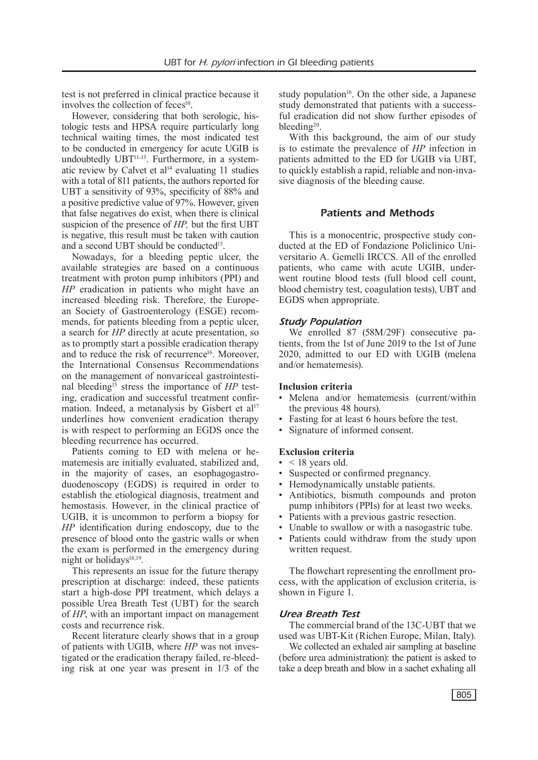test is not preferred in clinical practice because it involves the collection of feces<sup>10</sup>.

However, considering that both serologic, histologic tests and HPSA require particularly long technical waiting times, the most indicated test to be conducted in emergency for acute UGIB is undoubtedly UBT<sup>11-13</sup>. Furthermore, in a systematic review by Calvet et al<sup>14</sup> evaluating 11 studies with a total of 811 patients, the authors reported for UBT a sensitivity of 93%, specificity of 88% and a positive predictive value of 97%. However, given that false negatives do exist, when there is clinical suspicion of the presence of *HP,* but the first UBT is negative, this result must be taken with caution and a second UBT should be conducted15.

Nowadays, for a bleeding peptic ulcer, the available strategies are based on a continuous treatment with proton pump inhibitors (PPI) and *HP* eradication in patients who might have an increased bleeding risk. Therefore, the European Society of Gastroenterology (ESGE) recommends, for patients bleeding from a peptic ulcer, a search for *HP* directly at acute presentation, so as to promptly start a possible eradication therapy and to reduce the risk of recurrence<sup>16</sup>. Moreover, the International Consensus Recommendations on the management of nonvariceal gastrointestinal bleeding<sup>15</sup> stress the importance of *HP* testing, eradication and successful treatment confirmation. Indeed, a metanalysis by Gisbert et  $al<sup>17</sup>$ underlines how convenient eradication therapy is with respect to performing an EGDS once the bleeding recurrence has occurred.

Patients coming to ED with melena or hematemesis are initially evaluated, stabilized and, in the majority of cases, an esophagogastroduodenoscopy (EGDS) is required in order to establish the etiological diagnosis, treatment and hemostasis. However, in the clinical practice of UGIB, it is uncommon to perform a biopsy for *HP* identification during endoscopy, due to the presence of blood onto the gastric walls or when the exam is performed in the emergency during night or holidays $18,19$ .

This represents an issue for the future therapy prescription at discharge: indeed, these patients start a high-dose PPI treatment, which delays a possible Urea Breath Test (UBT) for the search of *HP*, with an important impact on management costs and recurrence risk.

Recent literature clearly shows that in a group of patients with UGIB, where *HP* was not investigated or the eradication therapy failed, re-bleeding risk at one year was present in 1/3 of the study population $16$ . On the other side, a Japanese study demonstrated that patients with a successful eradication did not show further episodes of bleeding20.

With this background, the aim of our study is to estimate the prevalence of *HP* infection in patients admitted to the ED for UGIB via UBT, to quickly establish a rapid, reliable and non-invasive diagnosis of the bleeding cause.

# Patients and Methods

This is a monocentric, prospective study conducted at the ED of Fondazione Policlinico Universitario A. Gemelli IRCCS. All of the enrolled patients, who came with acute UGIB, underwent routine blood tests (full blood cell count, blood chemistry test, coagulation tests), UBT and EGDS when appropriate.

## *Study Population*

We enrolled 87 (58M/29F) consecutive patients, from the 1st of June 2019 to the 1st of June 2020, admitted to our ED with UGIB (melena and/or hematemesis).

## **Inclusion criteria**

- Melena and/or hematemesis (current/within the previous 48 hours).
- Fasting for at least 6 hours before the test.
- Signature of informed consent.

## **Exclusion criteria**

- $\bullet$  < 18 years old.
- Suspected or confirmed pregnancy.
- Hemodynamically unstable patients.
- Antibiotics, bismuth compounds and proton pump inhibitors (PPIs) for at least two weeks.
- Patients with a previous gastric resection.
- Unable to swallow or with a nasogastric tube.
- Patients could withdraw from the study upon written request.

The flowchart representing the enrollment process, with the application of exclusion criteria, is shown in Figure 1.

## *Urea Breath Test*

The commercial brand of the 13C-UBT that we used was UBT-Kit (Richen Europe, Milan, Italy).

We collected an exhaled air sampling at baseline (before urea administration): the patient is asked to take a deep breath and blow in a sachet exhaling all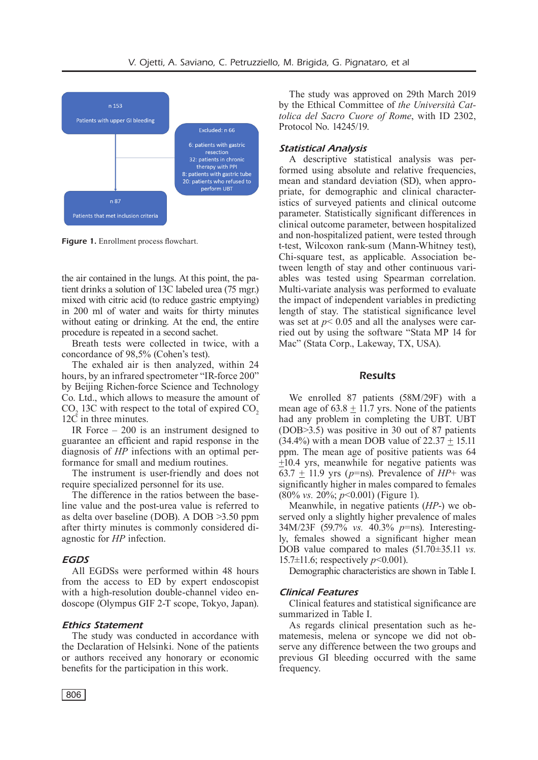

Figure 1. Enrollment process flowchart.

the air contained in the lungs. At this point, the patient drinks a solution of 13C labeled urea (75 mgr.) mixed with citric acid (to reduce gastric emptying) in 200 ml of water and waits for thirty minutes without eating or drinking. At the end, the entire procedure is repeated in a second sachet.

Breath tests were collected in twice, with a concordance of 98,5% (Cohen's test).

The exhaled air is then analyzed, within 24 hours, by an infrared spectrometer "IR-force 200" by Beijing Richen-force Science and Technology Co. Ltd., which allows to measure the amount of  $CO<sub>2</sub>$  13C with respect to the total of expired  $CO<sub>2</sub>$ 12C in three minutes.

IR Force – 200 is an instrument designed to guarantee an efficient and rapid response in the diagnosis of *HP* infections with an optimal performance for small and medium routines.

The instrument is user-friendly and does not require specialized personnel for its use.

The difference in the ratios between the baseline value and the post-urea value is referred to as delta over baseline (DOB). A DOB >3.50 ppm after thirty minutes is commonly considered diagnostic for *HP* infection.

## *EGDS*

All EGDSs were performed within 48 hours from the access to ED by expert endoscopist with a high-resolution double-channel video endoscope (Olympus GIF 2-T scope, Tokyo, Japan).

## *Ethics Statement*

The study was conducted in accordance with the Declaration of Helsinki. None of the patients or authors received any honorary or economic benefits for the participation in this work.

The study was approved on 29th March 2019 by the Ethical Committee of *the Università Cattolica del Sacro Cuore of Rome*, with ID 2302, Protocol No. 14245/19.

## *Statistical Analysis*

A descriptive statistical analysis was performed using absolute and relative frequencies, mean and standard deviation (SD), when appropriate, for demographic and clinical characteristics of surveyed patients and clinical outcome parameter. Statistically significant differences in clinical outcome parameter, between hospitalized and non-hospitalized patient, were tested through t-test, Wilcoxon rank-sum (Mann-Whitney test), Chi-square test, as applicable. Association between length of stay and other continuous variables was tested using Spearman correlation. Multi-variate analysis was performed to evaluate the impact of independent variables in predicting length of stay. The statistical significance level was set at  $p < 0.05$  and all the analyses were carried out by using the software "Stata MP 14 for Mac" (Stata Corp., Lakeway, TX, USA).

#### **Results**

We enrolled 87 patients (58M/29F) with a mean age of  $63.8 + 11.7$  yrs. None of the patients had any problem in completing the UBT. UBT (DOB>3.5) was positive in 30 out of 87 patients  $(34.4\%)$  with a mean DOB value of  $22.37 + 15.11$ ppm. The mean age of positive patients was 64 +10.4 yrs, meanwhile for negative patients was  $63.7 + 11.9$  yrs ( $p = ns$ ). Prevalence of  $HP + was$ significantly higher in males compared to females (80% *vs.* 20%; *p*<0.001) (Figure 1).

Meanwhile, in negative patients (*HP*-) we observed only a slightly higher prevalence of males 34M/23F (59.7% *vs.* 40.3% *p*=ns). Interestingly, females showed a significant higher mean DOB value compared to males (51.70±35.11 *vs.* 15.7±11.6; respectively *p*<0.001).

Demographic characteristics are shown in Table I.

## *Clinical Features*

Clinical features and statistical significance are summarized in Table I.

As regards clinical presentation such as hematemesis, melena or syncope we did not observe any difference between the two groups and previous GI bleeding occurred with the same frequency.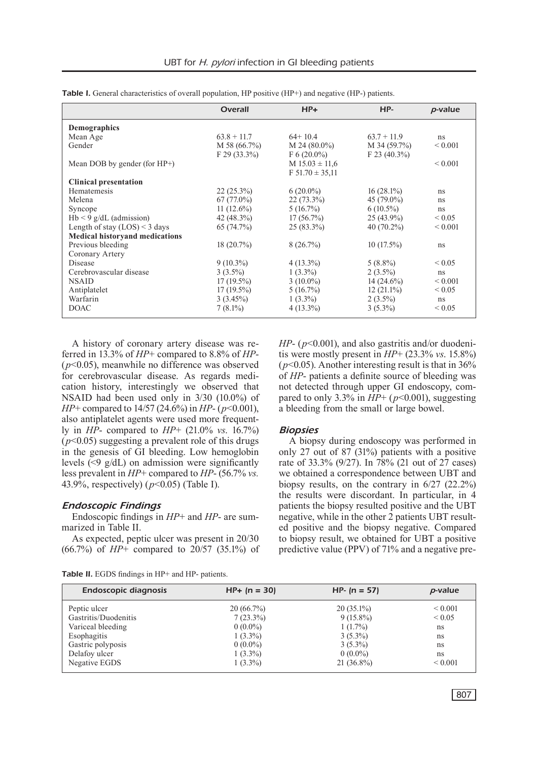|                                       | <b>Overall</b> | $HP+$                | HP-            | p-value      |
|---------------------------------------|----------------|----------------------|----------------|--------------|
| Demographics                          |                |                      |                |              |
| Mean Age                              | $63.8 + 11.7$  | $64+10.4$            | $63.7 + 11.9$  | ns           |
| Gender                                | $M$ 58 (66.7%) | $M$ 24 (80.0%)       | $M$ 34 (59.7%) | ${}_{0.001}$ |
|                                       | $F$ 29 (33.3%) | $F 6(20.0\%)$        | $F$ 23 (40.3%) |              |
| Mean DOB by gender (for $HP+$ )       |                | $M$ 15.03 $\pm$ 11.6 |                | ${}_{0.001}$ |
|                                       |                | $F 51.70 \pm 35.11$  |                |              |
| <b>Clinical presentation</b>          |                |                      |                |              |
| Hematemesis                           | $22(25.3\%)$   | $6(20.0\%)$          | $16(28.1\%)$   | ns           |
| Melena                                | $67(77.0\%)$   | $22(73.3\%)$         | 45 $(79.0\%)$  | ns           |
| Syncope                               | 11 $(12.6\%)$  | $5(16.7\%)$          | $6(10.5\%)$    | ns           |
| $Hb < 9$ g/dL (admission)             | 42 $(48.3\%)$  | $17(56.7\%)$         | $25(43.9\%)$   | ${}< 0.05$   |
| Length of stay $(LOS) < 3$ days       | 65(74.7%)      | $25(83.3\%)$         | $40(70.2\%)$   | ${}_{0.001}$ |
| <b>Medical historyand medications</b> |                |                      |                |              |
| Previous bleeding                     | $18(20.7\%)$   | 8(26.7%)             | $10(17.5\%)$   | ns           |
| Coronary Artery                       |                |                      |                |              |
| Disease                               | $9(10.3\%)$    | $4(13.3\%)$          | $5(8.8\%)$     | ${}< 0.05$   |
| Cerebrovascular disease               | $3(3.5\%)$     | $1(3.3\%)$           | $2(3.5\%)$     | ns           |
| <b>NSAID</b>                          | $17(19.5\%)$   | $3(10.0\%)$          | $14(24.6\%)$   | ${}_{0.001}$ |
| Antiplatelet                          | $17(19.5\%)$   | $5(16.7\%)$          | $12(21.1\%)$   | ${}_{0.05}$  |
| Warfarin                              | $3(3.45\%)$    | $1(3.3\%)$           | $2(3.5\%)$     | ns           |
| <b>DOAC</b>                           | $7(8.1\%)$     | $4(13.3\%)$          | $3(5.3\%)$     | ${}_{0.05}$  |

Table I. General characteristics of overall population, HP positive (HP+) and negative (HP-) patients.

A history of coronary artery disease was referred in 13.3% of *HP*+ compared to 8.8% of *HP*- (*p*<0.05), meanwhile no difference was observed for cerebrovascular disease. As regards medication history, interestingly we observed that NSAID had been used only in 3/30 (10.0%) of *HP*+ compared to 14/57 (24.6%) in *HP*- (*p*<0.001), also antiplatelet agents were used more frequently in *HP*- compared to *HP*+ (21.0% *vs*. 16.7%)  $(p<0.05)$  suggesting a prevalent role of this drugs in the genesis of GI bleeding. Low hemoglobin levels (<9 g/dL) on admission were significantly less prevalent in *HP*+ compared to *HP*- (56.7% *vs.* 43.9%, respectively) (*p*<0.05) (Table I).

## *Endoscopic Findings*

Endoscopic findings in *HP*+ and *HP*- are summarized in Table II.

As expected, peptic ulcer was present in 20/30 (66.7%) of *HP*+ compared to 20/57 (35.1%) of *HP*- (*p*<0.001), and also gastritis and/or duodenitis were mostly present in *HP*+ (23.3% *vs*. 15.8%)  $(p<0.05)$ . Another interesting result is that in 36% of *HP*- patients a definite source of bleeding was not detected through upper GI endoscopy, compared to only 3.3% in  $HP+$  ( $p<0.001$ ), suggesting a bleeding from the small or large bowel.

## *Biopsies*

A biopsy during endoscopy was performed in only 27 out of 87 (31%) patients with a positive rate of 33.3% (9/27). In 78% (21 out of 27 cases) we obtained a correspondence between UBT and biopsy results, on the contrary in 6/27 (22.2%) the results were discordant. In particular, in 4 patients the biopsy resulted positive and the UBT negative, while in the other 2 patients UBT resulted positive and the biopsy negative. Compared to biopsy result, we obtained for UBT a positive predictive value (PPV) of 71% and a negative pre-

| <b>Table II.</b> EGDS findings in HP+ and HP- patients. |  |  |  |  |  |  |
|---------------------------------------------------------|--|--|--|--|--|--|
|---------------------------------------------------------|--|--|--|--|--|--|

| <b>Endoscopic diagnosis</b> | $HP+ (n = 30)$ | $HP - (n = 57)$ | p-value      |
|-----------------------------|----------------|-----------------|--------------|
| Peptic ulcer                | 20(66.7%)      | $20(35.1\%)$    | ${}_{0.001}$ |
| Gastritis/Duodenitis        | $7(23.3\%)$    | $9(15.8\%)$     | ${}< 0.05$   |
| Variceal bleeding           | $0(0.0\%)$     | $1(1.7\%)$      | ns           |
| Esophagitis                 | $1(3.3\%)$     | $3(5.3\%)$      | ns           |
| Gastric polyposis           | $0(0.0\%)$     | $3(5.3\%)$      | ns           |
| Delafoy ulcer               | $1(3.3\%)$     | $0(0.0\%)$      | ns           |
| Negative EGDS               | $1(3.3\%)$     | $21(36.8\%)$    | ${}_{0.001}$ |
|                             |                |                 |              |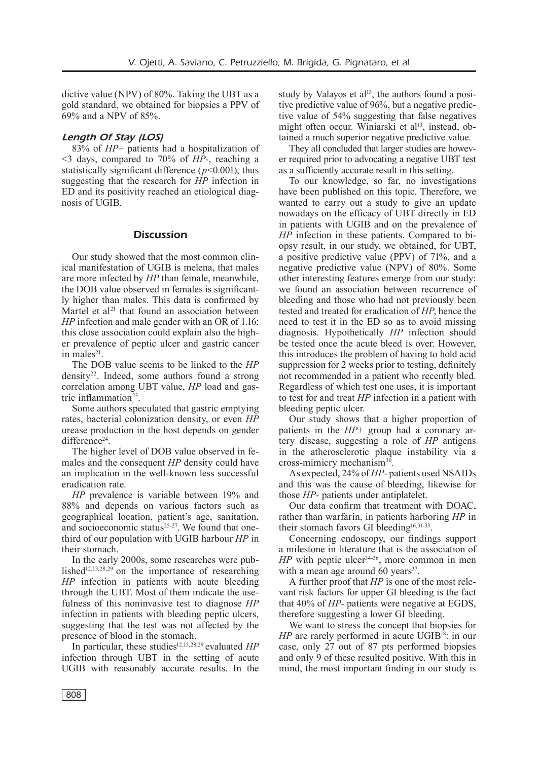dictive value (NPV) of 80%. Taking the UBT as a gold standard, we obtained for biopsies a PPV of 69% and a NPV of 85%.

## *Length Of Stay (LOS)*

83% of *HP*+ patients had a hospitalization of <3 days, compared to 70% of *HP*-, reaching a statistically significant difference  $(p<0.001)$ , thus suggesting that the research for *HP* infection in ED and its positivity reached an etiological diagnosis of UGIB.

## **Discussion**

Our study showed that the most common clinical manifestation of UGIB is melena, that males are more infected by *HP* than female, meanwhile, the DOB value observed in females is significantly higher than males. This data is confirmed by Martel et al<sup>21</sup> that found an association between *HP* infection and male gender with an OR of 1.16; this close association could explain also the higher prevalence of peptic ulcer and gastric cancer in males $21$ .

The DOB value seems to be linked to the *HP* density22. Indeed, some authors found a strong correlation among UBT value, *HP* load and gastric inflammation $23$ .

Some authors speculated that gastric emptying rates, bacterial colonization density, or even *HP* urease production in the host depends on gender difference<sup>24</sup>

The higher level of DOB value observed in females and the consequent *HP* density could have an implication in the well-known less successful eradication rate.

*HP* prevalence is variable between 19% and 88% and depends on various factors such as geographical location, patient's age, sanitation, and socioeconomic status<sup>25-27</sup>. We found that onethird of our population with UGIB harbour *HP* in their stomach.

In the early 2000s, some researches were published<sup>12,13,28,29</sup> on the importance of researching *HP* infection in patients with acute bleeding through the UBT. Most of them indicate the usefulness of this noninvasive test to diagnose *HP* infection in patients with bleeding peptic ulcers, suggesting that the test was not affected by the presence of blood in the stomach.

In particular, these studies<sup>12,13,28,29</sup> evaluated *HP* infection through UBT in the setting of acute UGIB with reasonably accurate results. In the study by Valayos et  $al<sup>13</sup>$ , the authors found a positive predictive value of 96%, but a negative predictive value of 54% suggesting that false negatives might often occur. Winiarski et al<sup>13</sup>, instead, obtained a much superior negative predictive value.

They all concluded that larger studies are however required prior to advocating a negative UBT test as a sufficiently accurate result in this setting.

To our knowledge, so far, no investigations have been published on this topic. Therefore, we wanted to carry out a study to give an update nowadays on the efficacy of UBT directly in ED in patients with UGIB and on the prevalence of *HP* infection in these patients. Compared to biopsy result, in our study, we obtained, for UBT, a positive predictive value (PPV) of 71%, and a negative predictive value (NPV) of 80%. Some other interesting features emerge from our study: we found an association between recurrence of bleeding and those who had not previously been tested and treated for eradication of *HP*, hence the need to test it in the ED so as to avoid missing diagnosis. Hypothetically *HP* infection should be tested once the acute bleed is over. However, this introduces the problem of having to hold acid suppression for 2 weeks prior to testing, definitely not recommended in a patient who recently bled. Regardless of which test one uses, it is important to test for and treat *HP* infection in a patient with bleeding peptic ulcer.

Our study shows that a higher proportion of patients in the *HP*+ group had a coronary artery disease, suggesting a role of *HP* antigens in the atherosclerotic plaque instability via a cross-mimicry mechanism $30$ .

As expected, 24% of *HP*- patients used NSAIDs and this was the cause of bleeding, likewise for those *HP*- patients under antiplatelet.

Our data confirm that treatment with DOAC, rather than warfarin, in patients harboring *HP* in their stomach favors GI bleeding<sup>16,31-33</sup>.

Concerning endoscopy, our findings support a milestone in literature that is the association of  $HP$  with peptic ulcer<sup>34-36</sup>, more common in men with a mean age around 60 years $37$ .

A further proof that *HP* is one of the most relevant risk factors for upper GI bleeding is the fact that 40% of *HP*- patients were negative at EGDS, therefore suggesting a lower GI bleeding.

We want to stress the concept that biopsies for *HP* are rarely performed in acute UGIB<sup>18</sup>: in our case, only 27 out of 87 pts performed biopsies and only 9 of these resulted positive. With this in mind, the most important finding in our study is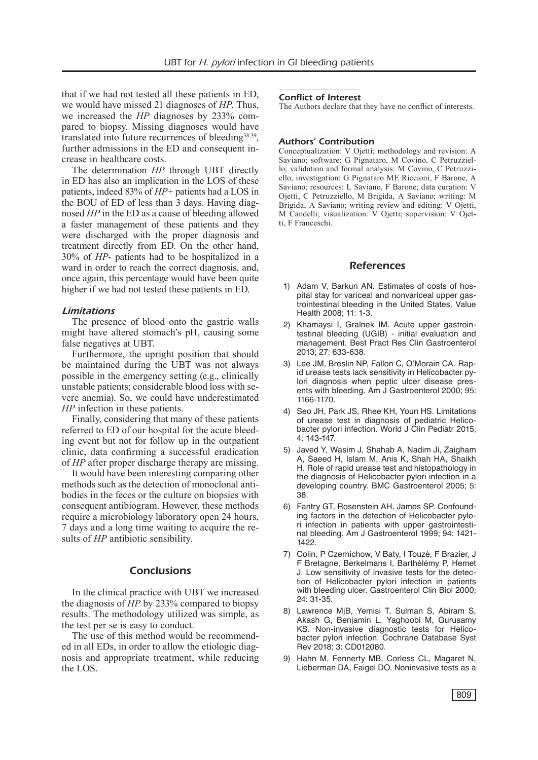that if we had not tested all these patients in ED, we would have missed 21 diagnoses of *HP*. Thus, we increased the *HP* diagnoses by 233% compared to biopsy. Missing diagnoses would have translated into future recurrences of bleeding<sup>38,39</sup>, further admissions in the ED and consequent increase in healthcare costs.

The determination *HP* through UBT directly in ED has also an implication in the LOS of these patients, indeed 83% of *HP*+ patients had a LOS in the BOU of ED of less than 3 days. Having diagnosed *HP* in the ED as a cause of bleeding allowed a faster management of these patients and they were discharged with the proper diagnosis and treatment directly from ED. On the other hand, 30% of *HP*- patients had to be hospitalized in a ward in order to reach the correct diagnosis, and, once again, this percentage would have been quite higher if we had not tested these patients in ED.

## *Limitations*

The presence of blood onto the gastric walls might have altered stomach's pH, causing some false negatives at UBT.

Furthermore, the upright position that should be maintained during the UBT was not always possible in the emergency setting (e.g., clinically unstable patients; considerable blood loss with severe anemia). So, we could have underestimated *HP* infection in these patients.

Finally, considering that many of these patients referred to ED of our hospital for the acute bleeding event but not for follow up in the outpatient clinic, data confirming a successful eradication of *HP* after proper discharge therapy are missing.

It would have been interesting comparing other methods such as the detection of monoclonal antibodies in the feces or the culture on biopsies with consequent antibiogram. However, these methods require a microbiology laboratory open 24 hours, 7 days and a long time waiting to acquire the results of *HP* antibiotic sensibility.

# Conclusions

In the clinical practice with UBT we increased the diagnosis of *HP* by 233% compared to biopsy results. The methodology utilized was simple, as the test per se is easy to conduct.

The use of this method would be recommended in all EDs, in order to allow the etiologic diagnosis and appropriate treatment, while reducing the LOS.

#### Conflict of Interest

The Authors declare that they have no conflict of interests.

#### Authors' Contribution

Conceptualization: V Ojetti; methodology and revision: A Saviano; software: G Pignataro, M Covino, C Petruzziello; validation and formal analysis: M Covino, C Petruzziello; investigation: G Pignataro ME Riccioni, F Barone, A Saviano; resources: L Saviano, F Barone; data curation: V Ojetti, C Petruzziello, M Brigida, A Saviano; writing: M Brigida, A Saviano; writing review and editing: V Ojetti, M Candelli; visualization: V Ojetti; supervision: V Ojetti, F Franceschi.

#### References

- 1) Adam V, Barkun AN. Estimates of costs of hospital stay for variceal and nonvariceal upper gastrointestinal bleeding in the United States. Value Health 2008; 11: 1‐3.
- 2) Khamaysi I, Gralnek IM. Acute upper gastrointestinal bleeding (UGIB) - initial evaluation and management. Best Pract Res Clin Gastroenterol 2013; 27: 633‐638.
- 3) Lee JM, Breslin NP, Fallon C, O'Morain CA. Rapid urease tests lack sensitivity in Helicobacter pylori diagnosis when peptic ulcer disease presents with bleeding. Am J Gastroenterol 2000; 95: 1166-1170.
- 4) Seo JH, Park JS, Rhee KH, Youn HS. Limitations of urease test in diagnosis of pediatric Helicobacter pylori infection. World J Clin Pediatr 2015; 4: 143-147.
- 5) Javed Y, Wasim J, Shahab A, Nadim Ji, Zaigham A, Saeed H, Islam M, Anis K, Shah HA, Shaikh H. Role of rapid urease test and histopathology in the diagnosis of Helicobacter pylori infection in a developing country. BMC Gastroenterol 2005; 5: 38.
- 6) Fantry GT, Rosenstein AH, James SP. Confounding factors in the detection of Helicobacter pylori infection in patients with upper gastrointestinal bleeding. Am J Gastroenterol 1999; 94: 1421- 1422.
- 7) Colin, P Czernichow, V Baty, I Touzé, F Brazier, J F Bretagne, Berkelmans I, Barthélémy P, Hemet J. Low sensitivity of invasive tests for the detection of Helicobacter pylori infection in patients with bleeding ulcer. Gastroenterol Clin Biol 2000; 24: 31-35.
- 8) Lawrence MjB, Yemisi T, Sulman S, Abiram S, Akash G, Benjamin L, Yaghoobi M, Gurusamy KS. Non-invasive diagnostic tests for Helicobacter pylori infection. Cochrane Database Syst Rev 2018; 3: CD012080.
- 9) Hahn M, Fennerty MB, Corless CL, Magaret N, Lieberman DA, Faigel DO. Noninvasive tests as a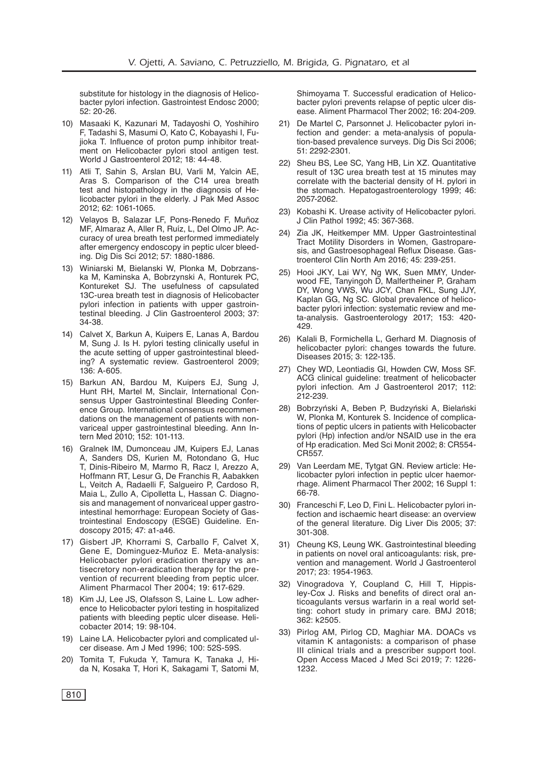substitute for histology in the diagnosis of Helicobacter pylori infection. Gastrointest Endosc 2000; 52: 20-26.

- 10) Masaaki K, Kazunari M, Tadayoshi O, Yoshihiro F, Tadashi S, Masumi O, Kato C, Kobayashi I, Fujioka T. Influence of proton pump inhibitor treatment on Helicobacter pylori stool antigen test. World J Gastroenterol 2012; 18: 44-48.
- 11) Atli T, Sahin S, Arslan BU, Varli M, Yalcin AE, Aras S. Comparison of the C14 urea breath test and histopathology in the diagnosis of Helicobacter pylori in the elderly. J Pak Med Assoc 2012; 62: 1061‐1065.
- 12) Velayos B, Salazar LF, Pons-Renedo F, Muñoz MF, Almaraz A, Aller R, Ruíz, L, Del Olmo JP. Accuracy of urea breath test performed immediately after emergency endoscopy in peptic ulcer bleeding. Dig Dis Sci 2012; 57: 1880‐1886.
- 13) Winiarski M, Bielanski W, Plonka M, Dobrzanska M, Kaminska A, Bobrzynski A, Ronturek PC, Kontureket SJ. The usefulness of capsulated 13C-urea breath test in diagnosis of Helicobacter pylori infection in patients with upper gastrointestinal bleeding. J Clin Gastroenterol 2003; 37: 34‐38.
- 14) Calvet X, Barkun A, Kuipers E, Lanas A, Bardou M, Sung J. Is H. pylori testing clinically useful in the acute setting of upper gastrointestinal bleeding? A systematic review. Gastroenterol 2009; 136: A-605.
- 15) Barkun AN, Bardou M, Kuipers EJ, Sung J, Hunt RH, Martel M, Sinclair, International Consensus Upper Gastrointestinal Bleeding Conference Group. International consensus recommendations on the management of patients with nonvariceal upper gastrointestinal bleeding. Ann Intern Med 2010; 152: 101-113.
- 16) Gralnek IM, Dumonceau JM, Kuipers EJ, Lanas A, Sanders DS, Kurien M, Rotondano G, Huc T, Dinis-Ribeiro M, Marmo R, Racz I, Arezzo A, Hoffmann RT, Lesur G, De Franchis R, Aabakken L, Veitch A, Radaelli F, Salgueiro P, Cardoso R, Maia L, Zullo A, Cipolletta L, Hassan C. Diagnosis and management of nonvariceal upper gastrointestinal hemorrhage: European Society of Gastrointestinal Endoscopy (ESGE) Guideline. Endoscopy 2015; 47: a1‐a46.
- 17) Gisbert JP, Khorrami S, Carballo F, Calvet X, Gene E, Dominguez-Muñoz E. Meta-analysis: Helicobacter pylori eradication therapy vs antisecretory non-eradication therapy for the prevention of recurrent bleeding from peptic ulcer. Aliment Pharmacol Ther 2004; 19: 617-629.
- 18) Kim JJ, Lee JS, Olafsson S, Laine L. Low adherence to Helicobacter pylori testing in hospitalized patients with bleeding peptic ulcer disease. Helicobacter 2014; 19: 98‐104.
- 19) Laine LA. Helicobacter pylori and complicated ulcer disease. Am J Med 1996; 100: 52S‐59S.
- 20) Tomita T, Fukuda Y, Tamura K, Tanaka J, Hida N, Kosaka T, Hori K, Sakagami T, Satomi M,

Shimoyama T. Successful eradication of Helicobacter pylori prevents relapse of peptic ulcer disease. Aliment Pharmacol Ther 2002; 16: 204‐209.

- 21) De Martel C, Parsonnet J. Helicobacter pylori infection and gender: a meta-analysis of population-based prevalence surveys. Dig Dis Sci 2006; 51: 2292-2301.
- 22) Sheu BS, Lee SC, Yang HB, Lin XZ. Quantitative result of 13C urea breath test at 15 minutes may correlate with the bacterial density of H. pylori in the stomach. Hepatogastroenterology 1999; 46: 2057-2062.
- 23) Kobashi K. Urease activity of Helicobacter pylori. J Clin Pathol 1992; 45: 367-368.
- 24) Zia JK, Heitkemper MM. Upper Gastrointestinal Tract Motility Disorders in Women, Gastroparesis, and Gastroesophageal Reflux Disease. Gastroenterol Clin North Am 2016; 45: 239-251.
- 25) Hooi JKY, Lai WY, Ng WK, Suen MMY, Underwood FE, Tanyingoh D, Malfertheiner P, Graham DY, Wong VWS, Wu JCY, Chan FKL, Sung JJY, Kaplan GG, Ng SC. Global prevalence of helicobacter pylori infection: systematic review and meta-analysis. Gastroenterology 2017; 153: 420- 429.
- 26) Kalali B, Formichella L, Gerhard M. Diagnosis of helicobacter pylori: changes towards the future. Diseases 2015; 3: 122-135.
- 27) Chey WD, Leontiadis GI, Howden CW, Moss SF. ACG clinical guideline: treatment of helicobacter pylori infection. Am J Gastroenterol 2017; 112: 212-239.
- 28) Bobrzyński A, Beben P, Budzyński A, Bielański W, Plonka M, Konturek S. Incidence of complications of peptic ulcers in patients with Helicobacter pylori (Hp) infection and/or NSAID use in the era of Hp eradication. Med Sci Monit 2002; 8: CR554- CR557.
- 29) Van Leerdam ME, Tytgat GN. Review article: Helicobacter pylori infection in peptic ulcer haemorrhage. Aliment Pharmacol Ther 2002; 16 Suppl 1: 66-78.
- 30) Franceschi F, Leo D, Fini L. Helicobacter pylori infection and ischaemic heart disease: an overview of the general literature. Dig Liver Dis 2005; 37: 301-308.
- 31) Cheung KS, Leung WK. Gastrointestinal bleeding in patients on novel oral anticoagulants: risk, prevention and management. World J Gastroenterol 2017; 23: 1954-1963.
- 32) Vinogradova Y, Coupland C, Hill T, Hippisley-Cox J. Risks and benefits of direct oral anticoagulants versus warfarin in a real world setting: cohort study in primary care. BMJ 2018; 362: k2505.
- 33) Pirlog AM, Pirlog CD, Maghiar MA. DOACs vs vitamin K antagonists: a comparison of phase III clinical trials and a prescriber support tool. Open Access Maced J Med Sci 2019; 7: 1226- 1232.